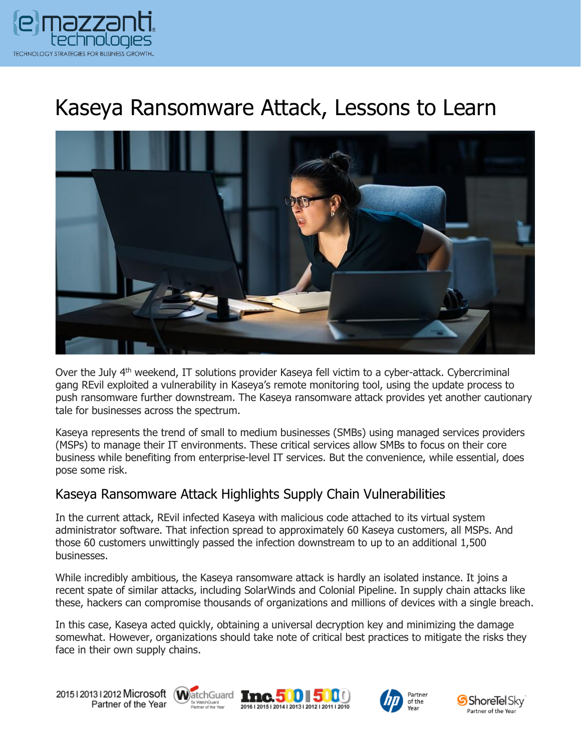

# Kaseya Ransomware Attack, Lessons to Learn



Over the July 4<sup>th</sup> weekend, IT solutions provider Kaseya fell victim to a cyber-attack. Cybercriminal gang REvil exploited a vulnerability in Kaseya's remote monitoring tool, using the update process to push ransomware further downstream. The Kaseya ransomware attack provides yet another cautionary tale for businesses across the spectrum.

Kaseya represents the trend of small to medium businesses (SMBs) using managed services providers (MSPs) to manage their IT environments. These critical services allow SMBs to focus on their core business while benefiting from enterprise-level IT services. But the convenience, while essential, does pose some risk.

#### Kaseya Ransomware Attack Highlights Supply Chain Vulnerabilities

In the current attack, REvil infected Kaseya with malicious code attached to its virtual system administrator software. That infection spread to approximately 60 Kaseya customers, all MSPs. And those 60 customers unwittingly passed the infection downstream to up to an additional 1,500 businesses.

While incredibly ambitious, the Kaseya ransomware attack is hardly an isolated instance. It joins a recent spate of similar attacks, including SolarWinds and Colonial Pipeline. In supply chain attacks like these, hackers can compromise thousands of organizations and millions of devices with a single breach.

In this case, Kaseya acted quickly, obtaining a universal decryption key and minimizing the damage somewhat. However, organizations should take note of critical best practices to mitigate the risks they face in their own supply chains.

20151201312012 Microsoft WatchGuard Tnc. 500 500 Partner of the Year







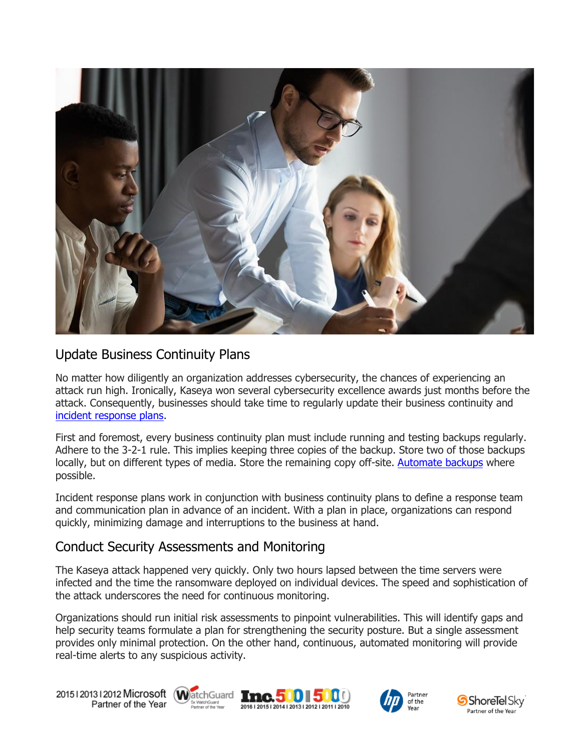

## Update Business Continuity Plans

No matter how diligently an organization addresses cybersecurity, the chances of experiencing an attack run high. Ironically, Kaseya won several cybersecurity excellence awards just months before the attack. Consequently, businesses should take time to regularly update their business continuity and [incident response plans.](https://www.emazzanti.net/incident-response-plan/)

First and foremost, every business continuity plan must include running and testing backups regularly. Adhere to the 3-2-1 rule. This implies keeping three copies of the backup. Store two of those backups locally, but on different types of media. Store the remaining copy off-site. [Automate backups](https://messagingarchitects.com/data-backup-best-practices/) where possible.

Incident response plans work in conjunction with business continuity plans to define a response team and communication plan in advance of an incident. With a plan in place, organizations can respond quickly, minimizing damage and interruptions to the business at hand.

### Conduct Security Assessments and Monitoring

The Kaseya attack happened very quickly. Only two hours lapsed between the time servers were infected and the time the ransomware deployed on individual devices. The speed and sophistication of the attack underscores the need for continuous monitoring.

Organizations should run initial risk assessments to pinpoint vulnerabilities. This will identify gaps and help security teams formulate a plan for strengthening the security posture. But a single assessment provides only minimal protection. On the other hand, continuous, automated monitoring will provide real-time alerts to any suspicious activity.

20151201312012 Microsoft WatchGuard Tnc. 500 500 Partner of the Year